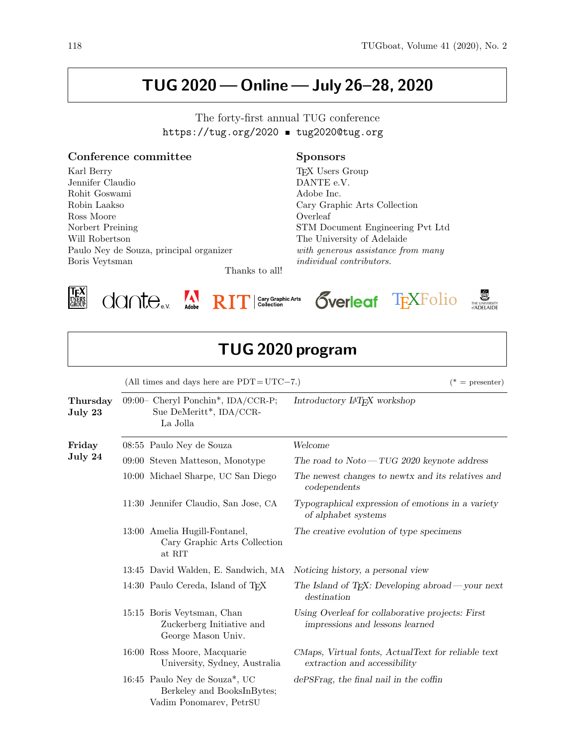## TUG 2020— Online— July 26–28, 2020

https://tug.org/2020 tug2020@tug.org Conference committee Karl Berry Jennifer Claudio Rohit Goswami Robin Laakso Ross Moore Norbert Preining Will Robertson Paulo Ney de Souza, principal organizer Sponsors TEX Users Group DANTE e.V. Adobe Inc. Cary Graphic Arts Collection Overleaf STM Document Engineering Pvt Ltd The University of Adelaide with generous assistance from many

Thanks to all!



Boris Veytsman







individual contributors.



⅂

| TUG 2020 program    |  |                                                                                        |                                                                                     |  |
|---------------------|--|----------------------------------------------------------------------------------------|-------------------------------------------------------------------------------------|--|
|                     |  | (All times and days here are $PDT = UTC - 7$ .)                                        | $(* =$ presenter)                                                                   |  |
| Thursday<br>July 23 |  | 09:00- Cheryl Ponchin*, IDA/CCR-P;<br>Sue DeMeritt*, IDA/CCR-<br>La Jolla              | Introductory IAT <sub>F</sub> X workshop                                            |  |
| Friday<br>July 24   |  | 08:55 Paulo Ney de Souza                                                               | Welcome                                                                             |  |
|                     |  | 09:00 Steven Matteson, Monotype                                                        | The road to $Noto - TUG 2020$ keynote address                                       |  |
|                     |  | 10:00 Michael Sharpe, UC San Diego                                                     | The newest changes to newtx and its relatives and<br>codependents                   |  |
|                     |  | 11:30 Jennifer Claudio, San Jose, CA                                                   | Typographical expression of emotions in a variety<br>of alphabet systems            |  |
|                     |  | 13:00 Amelia Hugill-Fontanel,<br>Cary Graphic Arts Collection<br>at RIT                | The creative evolution of type specimens                                            |  |
|                     |  | 13:45 David Walden, E. Sandwich, MA                                                    | Noticing history, a personal view                                                   |  |
|                     |  | 14:30 Paulo Cereda, Island of TFX                                                      | The Island of T <sub>F</sub> X: Developing abroad — your next<br>destination        |  |
|                     |  | 15:15 Boris Veytsman, Chan<br>Zuckerberg Initiative and<br>George Mason Univ.          | Using Overleaf for collaborative projects: First<br>impressions and lessons learned |  |
|                     |  | 16:00 Ross Moore, Macquarie<br>University, Sydney, Australia                           | CMaps, Virtual fonts, ActualText for reliable text<br>extraction and accessibility  |  |
|                     |  | 16:45 Paulo Ney de Souza*, UC<br>Berkeley and BooksInBytes;<br>Vadim Ponomarev, PetrSU | dePSFrag, the final nail in the coffin                                              |  |

The forty-first annual TUG conference